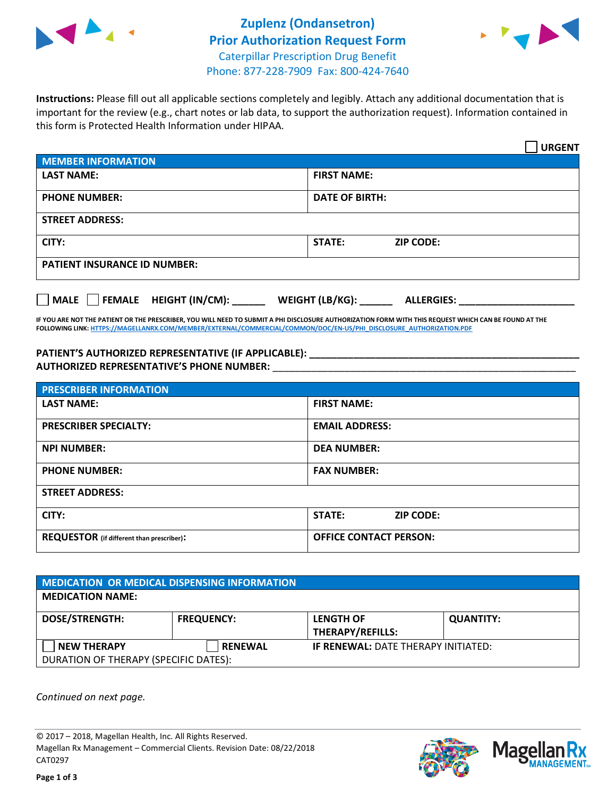



**Instructions:** Please fill out all applicable sections completely and legibly. Attach any additional documentation that is important for the review (e.g., chart notes or lab data, to support the authorization request). Information contained in this form is Protected Health Information under HIPAA.

|                                            | <b>URGENT</b>                        |  |  |  |
|--------------------------------------------|--------------------------------------|--|--|--|
| <b>MEMBER INFORMATION</b>                  |                                      |  |  |  |
| <b>LAST NAME:</b>                          | <b>FIRST NAME:</b>                   |  |  |  |
| <b>PHONE NUMBER:</b>                       | <b>DATE OF BIRTH:</b>                |  |  |  |
| <b>STREET ADDRESS:</b>                     |                                      |  |  |  |
| CITY:                                      | STATE:<br><b>ZIP CODE:</b>           |  |  |  |
| <b>PATIENT INSURANCE ID NUMBER:</b>        |                                      |  |  |  |
| FEMALE HEIGHT (IN/CM):<br>$ $ MALE $ $ $ $ | WEIGHT (LB/KG):<br><b>ALLERGIES:</b> |  |  |  |

**IF YOU ARE NOT THE PATIENT OR THE PRESCRIBER, YOU WILL NEED TO SUBMIT A PHI DISCLOSURE AUTHORIZATION FORM WITH THIS REQUEST WHICH CAN BE FOUND AT THE FOLLOWING LINK[: HTTPS://MAGELLANRX.COM/MEMBER/EXTERNAL/COMMERCIAL/COMMON/DOC/EN-US/PHI\\_DISCLOSURE\\_AUTHORIZATION.PDF](https://magellanrx.com/member/external/commercial/common/doc/en-us/PHI_Disclosure_Authorization.pdf)**

**PATIENT'S AUTHORIZED REPRESENTATIVE (IF APPLICABLE): \_\_\_\_\_\_\_\_\_\_\_\_\_\_\_\_\_\_\_\_\_\_\_\_\_\_\_\_\_\_\_\_\_\_\_\_\_\_\_\_\_\_\_\_\_\_\_\_\_ AUTHORIZED REPRESENTATIVE'S PHONE NUMBER:** \_\_\_\_\_\_\_\_\_\_\_\_\_\_\_\_\_\_\_\_\_\_\_\_\_\_\_\_\_\_\_\_\_\_\_\_\_\_\_\_\_\_\_\_\_\_\_\_\_\_\_\_\_\_\_

| <b>PRESCRIBER INFORMATION</b>             |                                   |  |  |  |
|-------------------------------------------|-----------------------------------|--|--|--|
| <b>LAST NAME:</b>                         | <b>FIRST NAME:</b>                |  |  |  |
| <b>PRESCRIBER SPECIALTY:</b>              | <b>EMAIL ADDRESS:</b>             |  |  |  |
| <b>NPI NUMBER:</b>                        | <b>DEA NUMBER:</b>                |  |  |  |
| <b>PHONE NUMBER:</b>                      | <b>FAX NUMBER:</b>                |  |  |  |
| <b>STREET ADDRESS:</b>                    |                                   |  |  |  |
| CITY:                                     | <b>STATE:</b><br><b>ZIP CODE:</b> |  |  |  |
| REQUESTOR (if different than prescriber): | <b>OFFICE CONTACT PERSON:</b>     |  |  |  |

| <b>MEDICATION OR MEDICAL DISPENSING INFORMATION</b> |                   |                                            |                  |  |  |
|-----------------------------------------------------|-------------------|--------------------------------------------|------------------|--|--|
| <b>MEDICATION NAME:</b>                             |                   |                                            |                  |  |  |
| <b>DOSE/STRENGTH:</b>                               | <b>FREQUENCY:</b> | <b>LENGTH OF</b>                           | <b>QUANTITY:</b> |  |  |
|                                                     |                   | <b>THERAPY/REFILLS:</b>                    |                  |  |  |
| <b>NEW THERAPY</b>                                  | <b>RENEWAL</b>    | <b>IF RENEWAL: DATE THERAPY INITIATED:</b> |                  |  |  |
| DURATION OF THERAPY (SPECIFIC DATES):               |                   |                                            |                  |  |  |

*Continued on next page.*

© 2017 – 2018, Magellan Health, Inc. All Rights Reserved. Magellan Rx Management – Commercial Clients. Revision Date: 08/22/2018 CAT0297



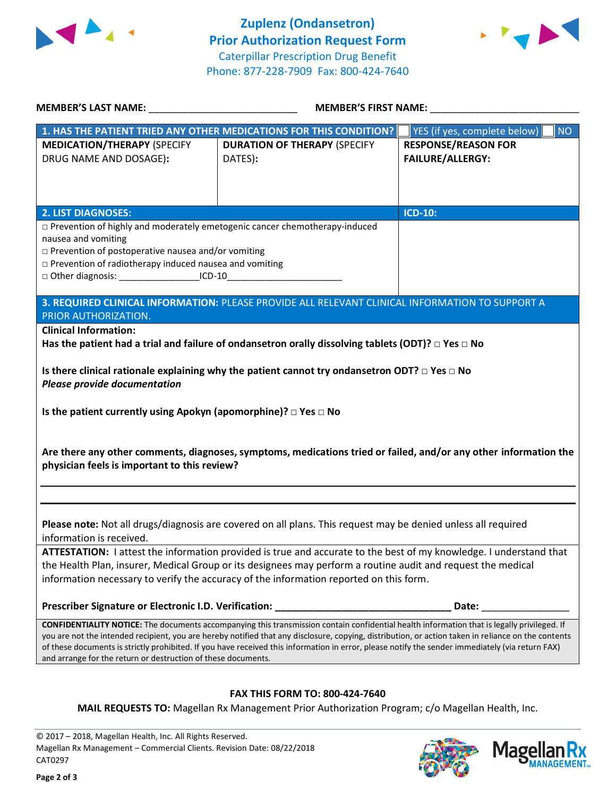



| MEMBER'S LAST NAME: NAME:                                                                                                                           | MEMBER'S FIRST NAME:                                                                                                                             |                                           |  |  |
|-----------------------------------------------------------------------------------------------------------------------------------------------------|--------------------------------------------------------------------------------------------------------------------------------------------------|-------------------------------------------|--|--|
|                                                                                                                                                     | 1. HAS THE PATIENT TRIED ANY OTHER MEDICATIONS FOR THIS CONDITION?                                                                               | YES (if yes, complete below)<br><b>NO</b> |  |  |
| <b>MEDICATION/THERAPY (SPECIFY</b>                                                                                                                  | <b>DURATION OF THERAPY (SPECIFY</b>                                                                                                              | <b>RESPONSE/REASON FOR</b>                |  |  |
| DRUG NAME AND DOSAGE):                                                                                                                              | DATES):                                                                                                                                          | <b>FAILURE/ALLERGY:</b>                   |  |  |
|                                                                                                                                                     |                                                                                                                                                  |                                           |  |  |
|                                                                                                                                                     |                                                                                                                                                  |                                           |  |  |
|                                                                                                                                                     |                                                                                                                                                  |                                           |  |  |
| <b>2. LIST DIAGNOSES:</b>                                                                                                                           |                                                                                                                                                  | <b>ICD-10:</b>                            |  |  |
| □ Prevention of highly and moderately emetogenic cancer chemotherapy-induced                                                                        |                                                                                                                                                  |                                           |  |  |
| nausea and vomiting                                                                                                                                 |                                                                                                                                                  |                                           |  |  |
| □ Prevention of postoperative nausea and/or vomiting                                                                                                |                                                                                                                                                  |                                           |  |  |
| $\Box$ Prevention of radiotherapy induced nausea and vomiting                                                                                       |                                                                                                                                                  |                                           |  |  |
| □ Other diagnosis: _________________________ICD-10_____________________________                                                                     |                                                                                                                                                  |                                           |  |  |
|                                                                                                                                                     |                                                                                                                                                  |                                           |  |  |
|                                                                                                                                                     | 3. REQUIRED CLINICAL INFORMATION: PLEASE PROVIDE ALL RELEVANT CLINICAL INFORMATION TO SUPPORT A                                                  |                                           |  |  |
| PRIOR AUTHORIZATION.                                                                                                                                |                                                                                                                                                  |                                           |  |  |
| <b>Clinical Information:</b>                                                                                                                        |                                                                                                                                                  |                                           |  |  |
|                                                                                                                                                     | Has the patient had a trial and failure of ondansetron orally dissolving tablets (ODT)? $\Box$ Yes $\Box$ No                                     |                                           |  |  |
|                                                                                                                                                     |                                                                                                                                                  |                                           |  |  |
|                                                                                                                                                     | Is there clinical rationale explaining why the patient cannot try ondansetron ODT? $\Box$ Yes $\Box$ No                                          |                                           |  |  |
| Please provide documentation                                                                                                                        |                                                                                                                                                  |                                           |  |  |
|                                                                                                                                                     |                                                                                                                                                  |                                           |  |  |
| Is the patient currently using Apokyn (apomorphine)? $\Box$ Yes $\Box$ No                                                                           |                                                                                                                                                  |                                           |  |  |
|                                                                                                                                                     |                                                                                                                                                  |                                           |  |  |
|                                                                                                                                                     |                                                                                                                                                  |                                           |  |  |
|                                                                                                                                                     | Are there any other comments, diagnoses, symptoms, medications tried or failed, and/or any other information the                                 |                                           |  |  |
| physician feels is important to this review?                                                                                                        |                                                                                                                                                  |                                           |  |  |
|                                                                                                                                                     |                                                                                                                                                  |                                           |  |  |
|                                                                                                                                                     |                                                                                                                                                  |                                           |  |  |
|                                                                                                                                                     |                                                                                                                                                  |                                           |  |  |
|                                                                                                                                                     |                                                                                                                                                  |                                           |  |  |
| Please note: Not all drugs/diagnosis are covered on all plans. This request may be denied unless all required                                       |                                                                                                                                                  |                                           |  |  |
| information is received.                                                                                                                            |                                                                                                                                                  |                                           |  |  |
|                                                                                                                                                     | ATTESTATION: I attest the information provided is true and accurate to the best of my knowledge. I understand that                               |                                           |  |  |
| the Health Plan, insurer, Medical Group or its designees may perform a routine audit and request the medical                                        |                                                                                                                                                  |                                           |  |  |
|                                                                                                                                                     | information necessary to verify the accuracy of the information reported on this form.                                                           |                                           |  |  |
|                                                                                                                                                     |                                                                                                                                                  |                                           |  |  |
|                                                                                                                                                     |                                                                                                                                                  |                                           |  |  |
|                                                                                                                                                     | CONFIDENTIALITY NOTICE: The documents accompanying this transmission contain confidential health information that is legally privileged. If      |                                           |  |  |
| you are not the intended recipient, you are hereby notified that any disclosure, copying, distribution, or action taken in reliance on the contents |                                                                                                                                                  |                                           |  |  |
|                                                                                                                                                     | of these documents is strictly prohibited. If you have received this information in error, please notify the sender immediately (via return FAX) |                                           |  |  |
| and arrange for the return or destruction of these documents.                                                                                       |                                                                                                                                                  |                                           |  |  |
|                                                                                                                                                     |                                                                                                                                                  |                                           |  |  |

## **FAX THIS FORM TO: 800-424-7640**

**MAIL REQUESTS TO:** Magellan Rx Management Prior Authorization Program; c/o Magellan Health, Inc.

© 2017 – 2018, Magellan Health, Inc. All Rights Reserved. Magellan Rx Management – Commercial Clients. Revision Date: 08/22/2018 CAT0297